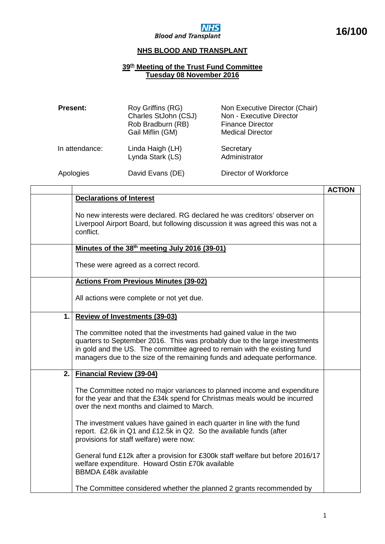

## **NHS**<br>Blood and Transplant

## **NHS BLOOD AND TRANSPLANT**

## **39th Meeting of the Trust Fund Committee Tuesday 08 November 2016**

| <b>Present:</b> | Roy Griffins (RG)<br>Charles StJohn (CSJ)<br>Rob Bradburn (RB)<br>Gail Miflin (GM) | Non Executive Director (Chair)<br>Non - Executive Director<br><b>Finance Director</b><br><b>Medical Director</b> |
|-----------------|------------------------------------------------------------------------------------|------------------------------------------------------------------------------------------------------------------|
| In attendance:  | Linda Haigh (LH)<br>Lynda Stark (LS)                                               | Secretary<br>Administrator                                                                                       |
| Apologies       | David Evans (DE)                                                                   | Director of Workforce                                                                                            |

|    |                                                                                                                                                                                                                                                                                                              | <b>ACTION</b> |
|----|--------------------------------------------------------------------------------------------------------------------------------------------------------------------------------------------------------------------------------------------------------------------------------------------------------------|---------------|
|    | <b>Declarations of Interest</b>                                                                                                                                                                                                                                                                              |               |
|    | No new interests were declared. RG declared he was creditors' observer on<br>Liverpool Airport Board, but following discussion it was agreed this was not a<br>conflict.                                                                                                                                     |               |
|    | Minutes of the 38 <sup>th</sup> meeting July 2016 (39-01)                                                                                                                                                                                                                                                    |               |
|    | These were agreed as a correct record.                                                                                                                                                                                                                                                                       |               |
|    | <b>Actions From Previous Minutes (39-02)</b>                                                                                                                                                                                                                                                                 |               |
|    | All actions were complete or not yet due.                                                                                                                                                                                                                                                                    |               |
| 1. | <b>Review of Investments (39-03)</b>                                                                                                                                                                                                                                                                         |               |
|    | The committee noted that the investments had gained value in the two<br>quarters to September 2016. This was probably due to the large investments<br>in gold and the US. The committee agreed to remain with the existing fund<br>managers due to the size of the remaining funds and adequate performance. |               |
| 2. | <b>Financial Review (39-04)</b>                                                                                                                                                                                                                                                                              |               |
|    | The Committee noted no major variances to planned income and expenditure<br>for the year and that the £34k spend for Christmas meals would be incurred<br>over the next months and claimed to March.                                                                                                         |               |
|    | The investment values have gained in each quarter in line with the fund<br>report. £2.6k in Q1 and £12.5k in Q2. So the available funds (after<br>provisions for staff welfare) were now:                                                                                                                    |               |
|    | General fund £12k after a provision for £300k staff welfare but before 2016/17<br>welfare expenditure. Howard Ostin £70k available<br><b>BBMDA £48k available</b>                                                                                                                                            |               |
|    | The Committee considered whether the planned 2 grants recommended by                                                                                                                                                                                                                                         |               |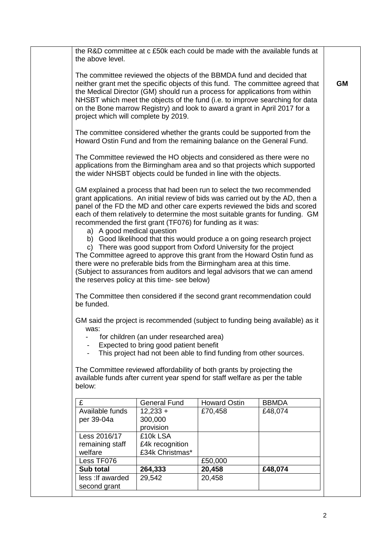| Less TF076<br>Sub total<br>less : If awarded | 264,333<br>29,542                                                           | £50,000<br>20,458<br>20,458 | £48,074                                                                         |
|----------------------------------------------|-----------------------------------------------------------------------------|-----------------------------|---------------------------------------------------------------------------------|
|                                              |                                                                             |                             |                                                                                 |
|                                              |                                                                             |                             |                                                                                 |
|                                              |                                                                             |                             |                                                                                 |
| remaining staff<br>welfare                   | £4k recognition<br>£34k Christmas*                                          |                             |                                                                                 |
| Less 2016/17                                 | £10k LSA                                                                    |                             |                                                                                 |
|                                              | provision                                                                   |                             |                                                                                 |
| per 39-04a                                   | 300,000                                                                     |                             |                                                                                 |
| Available funds                              | $12,233 +$                                                                  | £70,458                     | £48,074                                                                         |
| £                                            | <b>General Fund</b>                                                         | <b>Howard Ostin</b>         | <b>BBMDA</b>                                                                    |
| below:                                       | available funds after current year spend for staff welfare as per the table |                             |                                                                                 |
|                                              | The Committee reviewed affordability of both grants by projecting the       |                             |                                                                                 |
|                                              |                                                                             |                             |                                                                                 |
|                                              | This project had not been able to find funding from other sources.          |                             |                                                                                 |
|                                              | Expected to bring good patient benefit                                      |                             |                                                                                 |
| was:                                         | for children (an under researched area)                                     |                             |                                                                                 |
|                                              |                                                                             |                             | GM said the project is recommended (subject to funding being available) as it   |
| be funded.                                   |                                                                             |                             |                                                                                 |
|                                              | The Committee then considered if the second grant recommendation could      |                             |                                                                                 |
|                                              |                                                                             |                             |                                                                                 |
|                                              | the reserves policy at this time- see below)                                |                             | (Subject to assurances from auditors and legal advisors that we can amend       |
|                                              | there were no preferable bids from the Birmingham area at this time.        |                             |                                                                                 |
|                                              |                                                                             |                             | The Committee agreed to approve this grant from the Howard Ostin fund as        |
|                                              | c) There was good support from Oxford University for the project            |                             |                                                                                 |
|                                              |                                                                             |                             | b) Good likelihood that this would produce a on going research project          |
| a) A good medical question                   | recommended the first grant (TF076) for funding as it was:                  |                             |                                                                                 |
|                                              |                                                                             |                             | each of them relatively to determine the most suitable grants for funding. GM   |
|                                              |                                                                             |                             | panel of the FD the MD and other care experts reviewed the bids and scored      |
|                                              |                                                                             |                             | grant applications. An initial review of bids was carried out by the AD, then a |
|                                              | GM explained a process that had been run to select the two recommended      |                             |                                                                                 |
|                                              | the wider NHSBT objects could be funded in line with the objects.           |                             |                                                                                 |
|                                              |                                                                             |                             | applications from the Birmingham area and so that projects which supported      |
|                                              | The Committee reviewed the HO objects and considered as there were no       |                             |                                                                                 |
|                                              | Howard Ostin Fund and from the remaining balance on the General Fund.       |                             |                                                                                 |
|                                              | The committee considered whether the grants could be supported from the     |                             |                                                                                 |
|                                              |                                                                             |                             |                                                                                 |
| project which will complete by 2019.         |                                                                             |                             |                                                                                 |
|                                              | on the Bone marrow Registry) and look to award a grant in April 2017 for a  |                             |                                                                                 |
|                                              | the Medical Director (GM) should run a process for applications from within |                             | NHSBT which meet the objects of the fund (i.e. to improve searching for data    |
|                                              |                                                                             |                             | neither grant met the specific objects of this fund. The committee agreed that  |
|                                              | The committee reviewed the objects of the BBMDA fund and decided that       |                             |                                                                                 |
|                                              |                                                                             |                             |                                                                                 |
| the above level.                             |                                                                             |                             |                                                                                 |
|                                              |                                                                             |                             | the R&D committee at c £50k each could be made with the available funds at      |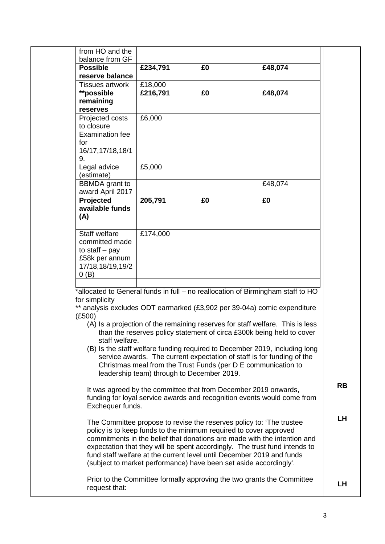| from HO and the<br>balance from GF<br><b>Possible</b>                           |                                                                       |    |                                                                                                                                                        |
|---------------------------------------------------------------------------------|-----------------------------------------------------------------------|----|--------------------------------------------------------------------------------------------------------------------------------------------------------|
|                                                                                 |                                                                       |    |                                                                                                                                                        |
|                                                                                 |                                                                       |    |                                                                                                                                                        |
| reserve balance                                                                 | £234,791                                                              | £0 | £48,074                                                                                                                                                |
| <b>Tissues artwork</b>                                                          | £18,000                                                               |    |                                                                                                                                                        |
| **possible                                                                      | £216,791                                                              | £0 | £48,074                                                                                                                                                |
| remaining                                                                       |                                                                       |    |                                                                                                                                                        |
| reserves                                                                        |                                                                       |    |                                                                                                                                                        |
| Projected costs                                                                 | £6,000                                                                |    |                                                                                                                                                        |
| to closure                                                                      |                                                                       |    |                                                                                                                                                        |
| <b>Examination fee</b>                                                          |                                                                       |    |                                                                                                                                                        |
| for                                                                             |                                                                       |    |                                                                                                                                                        |
| 16/17, 17/18, 18/1                                                              |                                                                       |    |                                                                                                                                                        |
| 9.                                                                              |                                                                       |    |                                                                                                                                                        |
| Legal advice                                                                    | £5,000                                                                |    |                                                                                                                                                        |
| (estimate)                                                                      |                                                                       |    |                                                                                                                                                        |
| <b>BBMDA</b> grant to                                                           |                                                                       |    | £48,074                                                                                                                                                |
| award April 2017                                                                |                                                                       |    |                                                                                                                                                        |
| Projected                                                                       | 205,791                                                               | £0 | £0                                                                                                                                                     |
| available funds                                                                 |                                                                       |    |                                                                                                                                                        |
| (A)                                                                             |                                                                       |    |                                                                                                                                                        |
|                                                                                 |                                                                       |    |                                                                                                                                                        |
| Staff welfare                                                                   | £174,000                                                              |    |                                                                                                                                                        |
| committed made                                                                  |                                                                       |    |                                                                                                                                                        |
| to staff $-$ pay                                                                |                                                                       |    |                                                                                                                                                        |
| £58k per annum                                                                  |                                                                       |    |                                                                                                                                                        |
| 17/18,18/19,19/2                                                                |                                                                       |    |                                                                                                                                                        |
| 0(B)                                                                            |                                                                       |    |                                                                                                                                                        |
|                                                                                 |                                                                       |    |                                                                                                                                                        |
| *allocated to General funds in full - no reallocation of Birmingham staff to HO |                                                                       |    |                                                                                                                                                        |
|                                                                                 |                                                                       |    |                                                                                                                                                        |
| for simplicity                                                                  |                                                                       |    |                                                                                                                                                        |
|                                                                                 |                                                                       |    | ** analysis excludes ODT earmarked (£3,902 per 39-04a) comic expenditure                                                                               |
| (E500)                                                                          |                                                                       |    |                                                                                                                                                        |
|                                                                                 |                                                                       |    | (A) Is a projection of the remaining reserves for staff welfare. This is less                                                                          |
|                                                                                 |                                                                       |    | than the reserves policy statement of circa £300k being held to cover                                                                                  |
| staff welfare.                                                                  |                                                                       |    |                                                                                                                                                        |
|                                                                                 |                                                                       |    | (B) Is the staff welfare funding required to December 2019, including long                                                                             |
|                                                                                 | Christmas meal from the Trust Funds (per D E communication to         |    | service awards. The current expectation of staff is for funding of the                                                                                 |
|                                                                                 | leadership team) through to December 2019.                            |    |                                                                                                                                                        |
|                                                                                 |                                                                       |    |                                                                                                                                                        |
|                                                                                 | It was agreed by the committee that from December 2019 onwards,       |    |                                                                                                                                                        |
|                                                                                 |                                                                       |    |                                                                                                                                                        |
| Exchequer funds.                                                                |                                                                       |    | funding for loyal service awards and recognition events would come from                                                                                |
|                                                                                 |                                                                       |    |                                                                                                                                                        |
|                                                                                 | The Committee propose to revise the reserves policy to: 'The trustee  |    |                                                                                                                                                        |
|                                                                                 | policy is to keep funds to the minimum required to cover approved     |    |                                                                                                                                                        |
|                                                                                 |                                                                       |    |                                                                                                                                                        |
|                                                                                 |                                                                       |    |                                                                                                                                                        |
|                                                                                 | fund staff welfare at the current level until December 2019 and funds |    | commitments in the belief that donations are made with the intention and<br>expectation that they will be spent accordingly. The trust fund intends to |
|                                                                                 | (subject to market performance) have been set aside accordingly'.     |    |                                                                                                                                                        |
|                                                                                 |                                                                       |    |                                                                                                                                                        |
| request that:                                                                   |                                                                       |    | Prior to the Committee formally approving the two grants the Committee                                                                                 |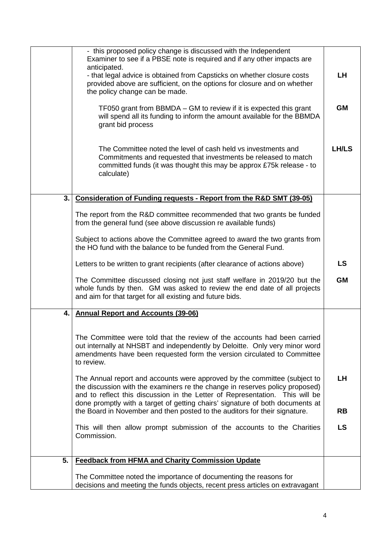|    | - this proposed policy change is discussed with the Independent<br>Examiner to see if a PBSE note is required and if any other impacts are     |           |
|----|------------------------------------------------------------------------------------------------------------------------------------------------|-----------|
|    | anticipated.                                                                                                                                   |           |
|    | - that legal advice is obtained from Capsticks on whether closure costs                                                                        | <b>LH</b> |
|    | provided above are sufficient, on the options for closure and on whether                                                                       |           |
|    | the policy change can be made.                                                                                                                 |           |
|    |                                                                                                                                                |           |
|    | TF050 grant from BBMDA – GM to review if it is expected this grant                                                                             | <b>GM</b> |
|    | will spend all its funding to inform the amount available for the BBMDA                                                                        |           |
|    | grant bid process                                                                                                                              |           |
|    |                                                                                                                                                |           |
|    | The Committee noted the level of cash held vs investments and                                                                                  | LH/LS     |
|    | Commitments and requested that investments be released to match                                                                                |           |
|    | committed funds (it was thought this may be approx £75k release - to                                                                           |           |
|    | calculate)                                                                                                                                     |           |
|    |                                                                                                                                                |           |
|    |                                                                                                                                                |           |
| 3. | Consideration of Funding requests - Report from the R&D SMT (39-05)                                                                            |           |
|    |                                                                                                                                                |           |
|    | The report from the R&D committee recommended that two grants be funded                                                                        |           |
|    | from the general fund (see above discussion re available funds)                                                                                |           |
|    |                                                                                                                                                |           |
|    | Subject to actions above the Committee agreed to award the two grants from<br>the HO fund with the balance to be funded from the General Fund. |           |
|    |                                                                                                                                                |           |
|    | Letters to be written to grant recipients (after clearance of actions above)                                                                   | <b>LS</b> |
|    |                                                                                                                                                |           |
|    | The Committee discussed closing not just staff welfare in 2019/20 but the                                                                      | <b>GM</b> |
|    | whole funds by then. GM was asked to review the end date of all projects                                                                       |           |
|    | and aim for that target for all existing and future bids.                                                                                      |           |
|    |                                                                                                                                                |           |
| 4. | <b>Annual Report and Accounts (39-06)</b>                                                                                                      |           |
|    |                                                                                                                                                |           |
|    | The Committee were told that the review of the accounts had been carried                                                                       |           |
|    | out internally at NHSBT and independently by Deloitte. Only very minor word                                                                    |           |
|    | amendments have been requested form the version circulated to Committee                                                                        |           |
|    | to review.                                                                                                                                     |           |
|    |                                                                                                                                                |           |
|    | The Annual report and accounts were approved by the committee (subject to                                                                      | <b>LH</b> |
|    | the discussion with the examiners re the change in reserves policy proposed)                                                                   |           |
|    | and to reflect this discussion in the Letter of Representation. This will be                                                                   |           |
|    | done promptly with a target of getting chairs' signature of both documents at                                                                  |           |
|    | the Board in November and then posted to the auditors for their signature.                                                                     | <b>RB</b> |
|    |                                                                                                                                                |           |
|    | This will then allow prompt submission of the accounts to the Charities                                                                        | <b>LS</b> |
|    | Commission.                                                                                                                                    |           |
|    |                                                                                                                                                |           |
| 5. | <b>Feedback from HFMA and Charity Commission Update</b>                                                                                        |           |
|    |                                                                                                                                                |           |
|    | The Committee noted the importance of documenting the reasons for                                                                              |           |
|    | decisions and meeting the funds objects, recent press articles on extravagant                                                                  |           |
|    |                                                                                                                                                |           |